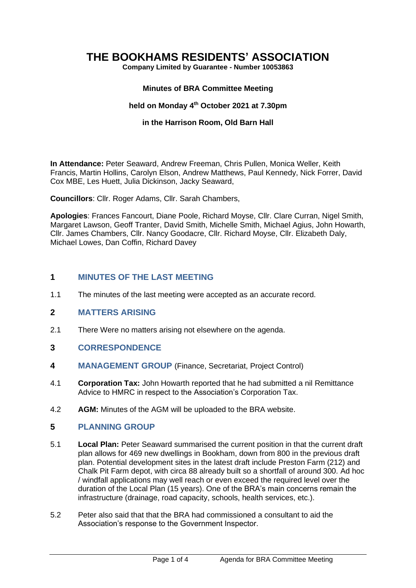# **THE BOOKHAMS RESIDENTS' ASSOCIATION**

**Company Limited by Guarantee - Number 10053863**

#### **Minutes of BRA Committee Meeting**

#### **held on Monday 4 th October 2021 at 7.30pm**

#### **in the Harrison Room, Old Barn Hall**

**In Attendance:** Peter Seaward, Andrew Freeman, Chris Pullen, Monica Weller, Keith Francis, Martin Hollins, Carolyn Elson, Andrew Matthews, Paul Kennedy, Nick Forrer, David Cox MBE, Les Huett, Julia Dickinson, Jacky Seaward,

**Councillors**: Cllr. Roger Adams, Cllr. Sarah Chambers,

**Apologies**: Frances Fancourt, Diane Poole, Richard Moyse, Cllr. Clare Curran, Nigel Smith, Margaret Lawson, Geoff Tranter, David Smith, Michelle Smith, Michael Agius, John Howarth, Cllr. James Chambers, Cllr. Nancy Goodacre, Cllr. Richard Moyse, Cllr. Elizabeth Daly, Michael Lowes, Dan Coffin, Richard Davey

## **1 MINUTES OF THE LAST MEETING**

1.1 The minutes of the last meeting were accepted as an accurate record.

#### **2 MATTERS ARISING**

- 2.1 There Were no matters arising not elsewhere on the agenda.
- **3 CORRESPONDENCE**
- **4 MANAGEMENT GROUP** (Finance, Secretariat, Project Control)
- 4.1 **Corporation Tax:** John Howarth reported that he had submitted a nil Remittance Advice to HMRC in respect to the Association's Corporation Tax.
- 4.2 **AGM:** Minutes of the AGM will be uploaded to the BRA website.

## **5 PLANNING GROUP**

- 5.1 **Local Plan:** Peter Seaward summarised the current position in that the current draft plan allows for 469 new dwellings in Bookham, down from 800 in the previous draft plan. Potential development sites in the latest draft include Preston Farm (212) and Chalk Pit Farm depot, with circa 88 already built so a shortfall of around 300. Ad hoc / windfall applications may well reach or even exceed the required level over the duration of the Local Plan (15 years). One of the BRA's main concerns remain the infrastructure (drainage, road capacity, schools, health services, etc.).
- 5.2 Peter also said that that the BRA had commissioned a consultant to aid the Association's response to the Government Inspector.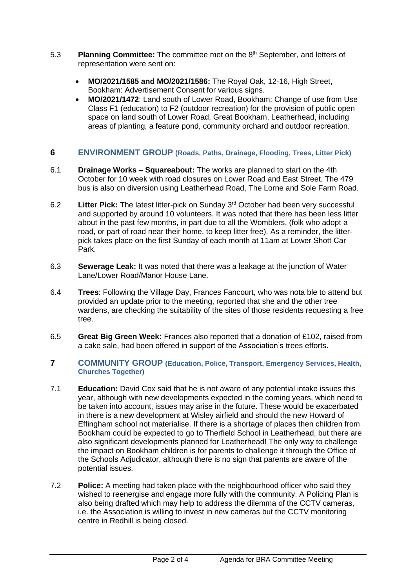- 5.3 **Planning Committee:** The committee met on the 8th September, and letters of representation were sent on:
	- **MO/2021/1585 and MO/2021/1586:** The Royal Oak, 12-16, High Street, Bookham: Advertisement Consent for various signs.
	- **MO/2021/1472**: Land south of Lower Road, Bookham: Change of use from Use Class F1 (education) to F2 (outdoor recreation) for the provision of public open space on land south of Lower Road, Great Bookham, Leatherhead, including areas of planting, a feature pond, community orchard and outdoor recreation.

#### **6 ENVIRONMENT GROUP (Roads, Paths, Drainage, Flooding, Trees, Litter Pick)**

- 6.1 **Drainage Works – Squareabout:** The works are planned to start on the 4th October for 10 week with road closures on Lower Road and East Street. The 479 bus is also on diversion using Leatherhead Road, The Lorne and Sole Farm Road.
- 6.2 **Litter Pick:** The latest litter-pick on Sunday 3rd October had been very successful and supported by around 10 volunteers. It was noted that there has been less litter about in the past few months, in part due to all the Womblers, (folk who adopt a road, or part of road near their home, to keep litter free). As a reminder, the litterpick takes place on the first Sunday of each month at 11am at Lower Shott Car Park.
- 6.3 **Sewerage Leak:** It was noted that there was a leakage at the junction of Water Lane/Lower Road/Manor House Lane.
- 6.4 **Trees**: Following the Village Day, Frances Fancourt, who was nota ble to attend but provided an update prior to the meeting, reported that she and the other tree wardens, are checking the suitability of the sites of those residents requesting a free tree.
- 6.5 **Great Big Green Week:** Frances also reported that a donation of £102, raised from a cake sale, had been offered in support of the Association's trees efforts.

#### **7 COMMUNITY GROUP (Education, Police, Transport, Emergency Services, Health, Churches Together)**

- 7.1 **Education:** David Cox said that he is not aware of any potential intake issues this year, although with new developments expected in the coming years, which need to be taken into account, issues may arise in the future. These would be exacerbated in there is a new development at Wisley airfield and should the new Howard of Effingham school not materialise. If there is a shortage of places then children from Bookham could be expected to go to Therfield School in Leatherhead, but there are also significant developments planned for Leatherhead! The only way to challenge the impact on Bookham children is for parents to challenge it through the Office of the Schools Adjudicator, although there is no sign that parents are aware of the potential issues.
- 7.2 **Police:** A meeting had taken place with the neighbourhood officer who said they wished to reenergise and engage more fully with the community. A Policing Plan is also being drafted which may help to address the dilemma of the CCTV cameras, i.e. the Association is willing to invest in new cameras but the CCTV monitoring centre in Redhill is being closed.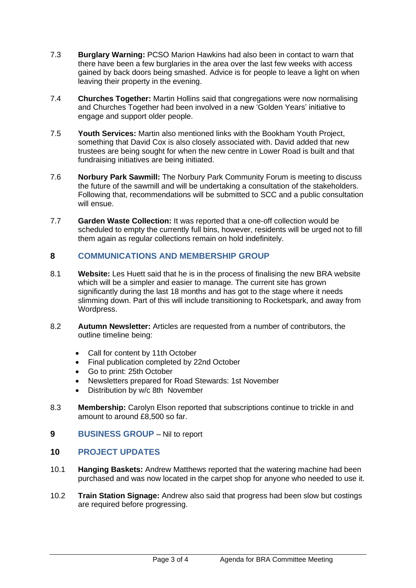- 7.3 **Burglary Warning:** PCSO Marion Hawkins had also been in contact to warn that there have been a few burglaries in the area over the last few weeks with access gained by back doors being smashed. Advice is for people to leave a light on when leaving their property in the evening.
- 7.4 **Churches Together:** Martin Hollins said that congregations were now normalising and Churches Together had been involved in a new 'Golden Years' initiative to engage and support older people.
- 7.5 **Youth Services:** Martin also mentioned links with the Bookham Youth Project, something that David Cox is also closely associated with. David added that new trustees are being sought for when the new centre in Lower Road is built and that fundraising initiatives are being initiated.
- 7.6 **Norbury Park Sawmill:** The Norbury Park Community Forum is meeting to discuss the future of the sawmill and will be undertaking a consultation of the stakeholders. Following that, recommendations will be submitted to SCC and a public consultation will ensue.
- 7.7 **Garden Waste Collection:** It was reported that a one-off collection would be scheduled to empty the currently full bins, however, residents will be urged not to fill them again as regular collections remain on hold indefinitely.

# **8 COMMUNICATIONS AND MEMBERSHIP GROUP**

- 8.1 **Website:** Les Huett said that he is in the process of finalising the new BRA website which will be a simpler and easier to manage. The current site has grown significantly during the last 18 months and has got to the stage where it needs slimming down. Part of this will include transitioning to Rocketspark, and away from Wordpress.
- 8.2 **Autumn Newsletter:** Articles are requested from a number of contributors, the outline timeline being:
	- Call for content by 11th October
	- Final publication completed by 22nd October
	- Go to print: 25th October
	- Newsletters prepared for Road Stewards: 1st November
	- Distribution by w/c 8th November
- 8.3 **Membership:** Carolyn Elson reported that subscriptions continue to trickle in and amount to around £8,500 so far.
- **9 BUSINESS GROUP** Nil to report

# **10 PROJECT UPDATES**

- 10.1 **Hanging Baskets:** Andrew Matthews reported that the watering machine had been purchased and was now located in the carpet shop for anyone who needed to use it.
- 10.2 **Train Station Signage:** Andrew also said that progress had been slow but costings are required before progressing.